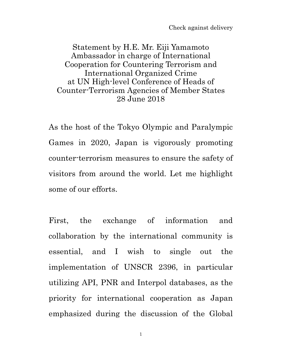Check against delivery

Statement by H.E. Mr. Eiji Yamamoto Ambassador in charge of International Cooperation for Countering Terrorism and International Organized Crime at UN High-level Conference of Heads of Counter-Terrorism Agencies of Member States 28 June 2018

As the host of the Tokyo Olympic and Paralympic Games in 2020, Japan is vigorously promoting counter-terrorism measures to ensure the safety of visitors from around the world. Let me highlight some of our efforts.

First, the exchange of information and collaboration by the international community is essential, and I wish to single out the implementation of UNSCR 2396, in particular utilizing API, PNR and Interpol databases, as the priority for international cooperation as Japan emphasized during the discussion of the Global

1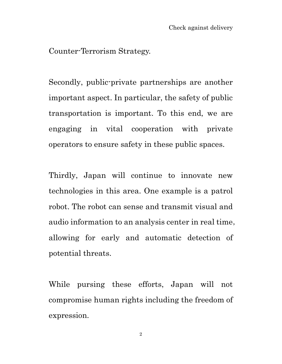Counter-Terrorism Strategy.

Secondly, public-private partnerships are another important aspect. In particular, the safety of public transportation is important. To this end, we are engaging in vital cooperation with private operators to ensure safety in these public spaces.

Thirdly, Japan will continue to innovate new technologies in this area. One example is a patrol robot. The robot can sense and transmit visual and audio information to an analysis center in real time, allowing for early and automatic detection of potential threats.

While pursing these efforts, Japan will not compromise human rights including the freedom of expression.

2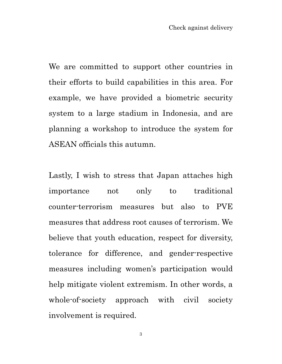We are committed to support other countries in their efforts to build capabilities in this area. For example, we have provided a biometric security system to a large stadium in Indonesia, and are planning a workshop to introduce the system for ASEAN officials this autumn.

Lastly, I wish to stress that Japan attaches high importance not only to traditional counter-terrorism measures but also to PVE measures that address root causes of terrorism. We believe that youth education, respect for diversity, tolerance for difference, and gender-respective measures including women's participation would help mitigate violent extremism. In other words, a whole-of-society approach with civil society involvement is required.

3